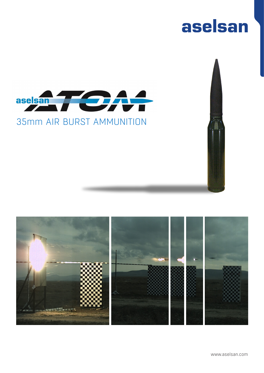# aselsan



### 35mm AIR BURST AMMUNITION